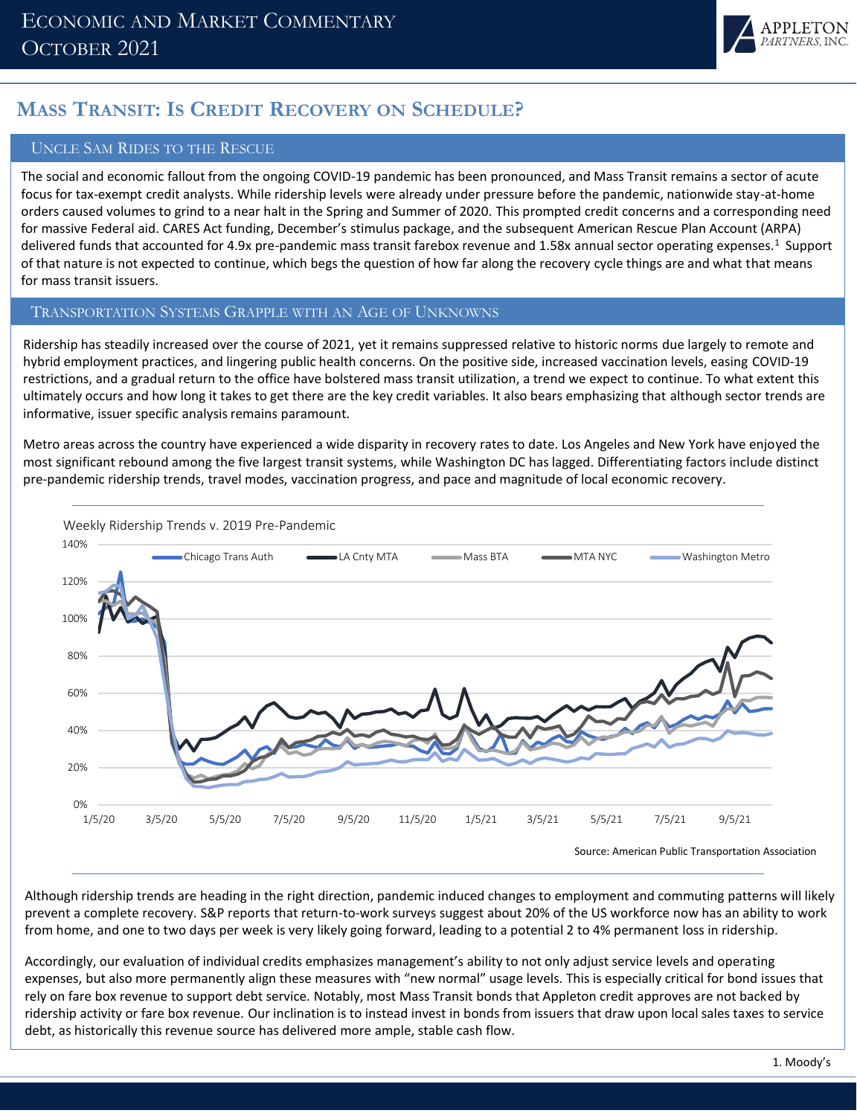

# **MASS TRANSIT: IS CREDIT RECOVERY ON SCHEDULE?**

### UNCLE SAM RIDES TO THE RESCUE

The social and economic fallout from the ongoing COVID-19 pandemic has been pronounced, and Mass Transit remains a sector of acute focus for tax-exempt credit analysts. While ridership levels were already under pressure before the pandemic, nationwide stay-at-home orders caused volumes to grind to a near halt in the Spring and Summer of 2020. This prompted credit concerns and a corresponding need for massive Federal aid. CARES Act funding, December's stimulus package, and the subsequent American Rescue Plan Account (ARPA) delivered funds that accounted for 4.9x pre-pandemic mass transit farebox revenue and 1.58x annual sector operating expenses.<sup>1</sup> Support of that nature is not expected to continue, which begs the question of how far along the recovery cycle things are and what that means for mass transit issuers.

#### TRANSPORTATION SYSTEMS GRAPPLE WITH AN AGE OF UNKNOWNS

Ridership has steadily increased over the course of 2021, yet it remains suppressed relative to historic norms due largely to remote and hybrid employment practices, and lingering public health concerns. On the positive side, increased vaccination levels, easing COVID-19 restrictions, and a gradual return to the office have bolstered mass transit utilization, a trend we expect to continue. To what extent this ultimately occurs and how long it takes to get there are the key credit variables. It also bears emphasizing that although sector trends are informative, issuer specific analysis remains paramount.

Metro areas across the country have experienced a wide disparity in recovery rates to date. Los Angeles and New York have enjoyed the most significant rebound among the five largest transit systems, while Washington DC has lagged. Differentiating factors include distinct pre-pandemic ridership trends, travel modes, vaccination progress, and pace and magnitude of local economic recovery.



Source: American Public Transportation Association

Although ridership trends are heading in the right direction, pandemic induced changes to employment and commuting patterns will likely prevent a complete recovery. S&P reports that return-to-work surveys suggest about 20% of the US workforce now has an ability to work from home, and one to two days per week is very likely going forward, leading to a potential 2 to 4% permanent loss in ridership.

Accordingly, our evaluation of individual credits emphasizes management's ability to not only adjust service levels and operating expenses, but also more permanently align these measures with "new normal" usage levels. This is especially critical for bond issues that rely on fare box revenue to support debt service. Notably, most Mass Transit bonds that Appleton credit approves are not backed by ridership activity or fare box revenue. Our inclination is to instead invest in bonds from issuers that draw upon local sales taxes to service debt, as historically this revenue source has delivered more ample, stable cash flow.